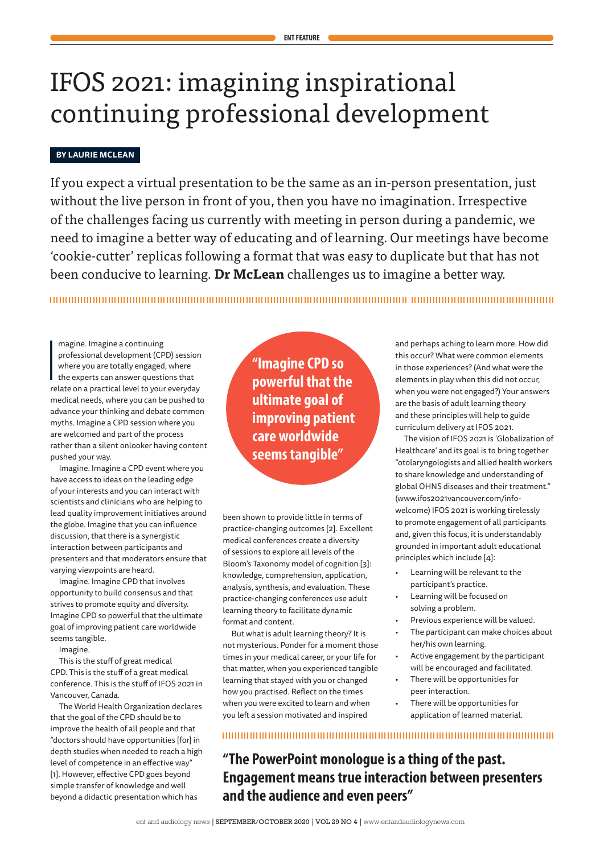# IFOS 2021: imagining inspirational continuing professional development

# **BY LAURIE MCLEAN**

If you expect a virtual presentation to be the same as an in-person presentation, just without the live person in front of you, then you have no imagination. Irrespective of the challenges facing us currently with meeting in person during a pandemic, we need to imagine a better way of educating and of learning. Our meetings have become 'cookie-cutter' replicas following a format that was easy to duplicate but that has not been conducive to learning. **Dr McLean** challenges us to imagine a better way.

|<br>|<br>|<br>|re magine. Imagine a continuing professional development (CPD) session where you are totally engaged, where the experts can answer questions that relate on a practical level to your everyday medical needs, where you can be pushed to advance your thinking and debate common myths. Imagine a CPD session where you are welcomed and part of the process rather than a silent onlooker having content pushed your way.

Imagine. Imagine a CPD event where you have access to ideas on the leading edge of your interests and you can interact with scientists and clinicians who are helping to lead quality improvement initiatives around the globe. Imagine that you can influence discussion, that there is a synergistic interaction between participants and presenters and that moderators ensure that varying viewpoints are heard.

Imagine. Imagine CPD that involves opportunity to build consensus and that strives to promote equity and diversity. Imagine CPD so powerful that the ultimate goal of improving patient care worldwide seems tangible.

Imagine.

This is the stuff of great medical CPD. This is the stuff of a great medical conference. This is the stuff of IFOS 2021 in Vancouver, Canada.

The World Health Organization declares that the goal of the CPD should be to improve the health of all people and that "doctors should have opportunities [for] in depth studies when needed to reach a high level of competence in an effective way" [1]. However, effective CPD goes beyond simple transfer of knowledge and well beyond a didactic presentation which has

**"Imagine CPD so powerful that the ultimate goal of improving patient care worldwide seems tangible"**

been shown to provide little in terms of practice-changing outcomes [2]. Excellent medical conferences create a diversity of sessions to explore all levels of the Bloom's Taxonomy model of cognition [3]: knowledge, comprehension, application, analysis, synthesis, and evaluation. These practice-changing conferences use adult learning theory to facilitate dynamic format and content.

But what is adult learning theory? It is not mysterious. Ponder for a moment those times in your medical career, or your life for that matter, when you experienced tangible learning that stayed with you or changed how you practised. Reflect on the times when you were excited to learn and when you left a session motivated and inspired

and perhaps aching to learn more. How did this occur? What were common elements in those experiences? (And what were the elements in play when this did not occur, when you were not engaged?) Your answers are the basis of adult learning theory and these principles will help to guide curriculum delivery at IFOS 2021.

The vision of IFOS 2021 is 'Globalization of Healthcare' and its goal is to bring together "otolaryngologists and allied health workers to share knowledge and understanding of global OHNS diseases and their treatment." (www.ifos2021vancouver.com/infowelcome) IFOS 2021 is working tirelessly to promote engagement of all participants and, given this focus, it is understandably grounded in important adult educational principles which include [4]:

- Learning will be relevant to the participant's practice.
- Learning will be focused on solving a problem.
- Previous experience will be valued.
- The participant can make choices about her/his own learning.
- Active engagement by the participant will be encouraged and facilitated.
- There will be opportunities for peer interaction.
- There will be opportunities for application of learned material.

**"The PowerPoint monologue is a thing of the past. Engagement means true interaction between presenters and the audience and even peers"**